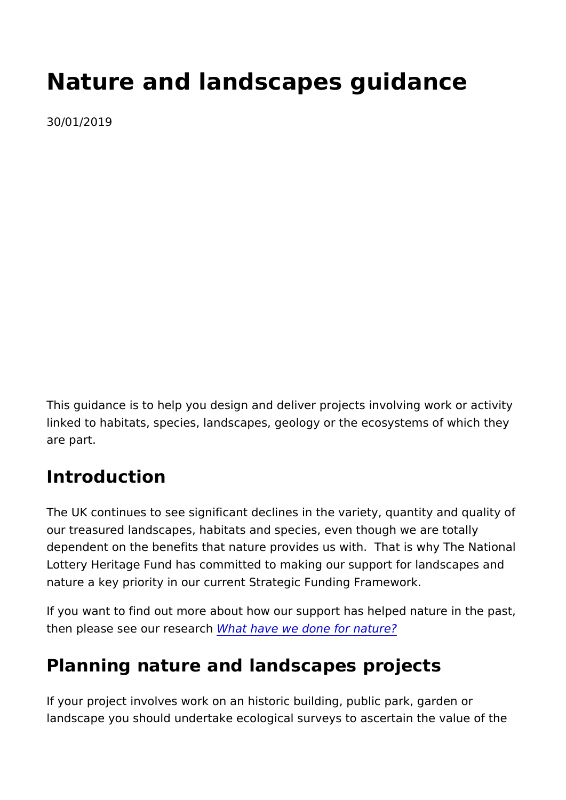# Nature and landscapes guidance 30/01/2019

This guidance is to help you design and deliver projects involvi linked to habitats, species, landscapes, geology or the ecosyst are part.

#### Introduction

The UK continues to see significant declines in the variety, qua our treasured landscapes, habitats and species, even though we dependent on the benefits that nature provides us with. That is Lottery Heritage Fund has committed to making our support for nature a key priority in our current Strategic Funding Framewor

If you want to find out more about how our support has helped nature in the past, and a past, the past, and the past,  $\frac{1}{2}$ then please see our rest have we done for nature?

#### Planning nature and landscapes projects

If your project involves work on an historic building, public par landscape you should undertake ecological surveys to ascertain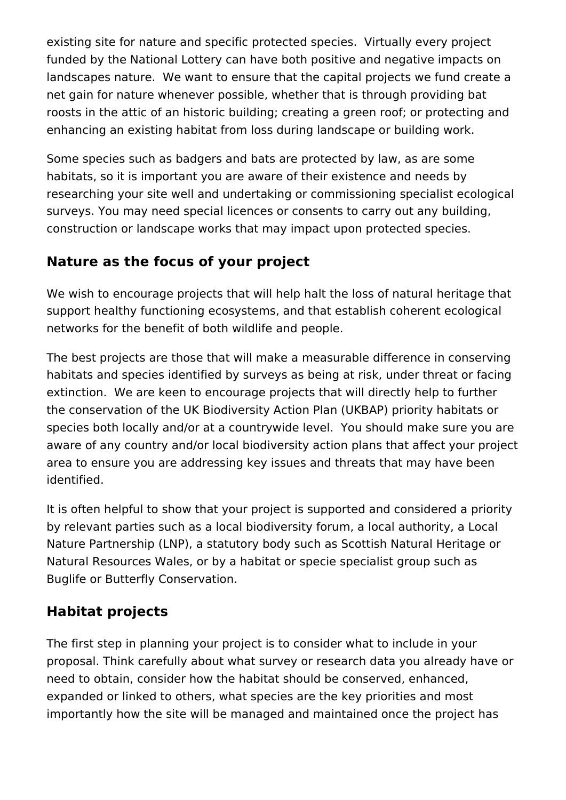existing site for nature and specific protected species. Virtually every project funded by the National Lottery can have both positive and negative impacts on landscapes nature. We want to ensure that the capital projects we fund create a net gain for nature whenever possible, whether that is through providing bat roosts in the attic of an historic building; creating a green roof; or protecting and enhancing an existing habitat from loss during landscape or building work.

Some species such as badgers and bats are protected by law, as are some habitats, so it is important you are aware of their existence and needs by researching your site well and undertaking or commissioning specialist ecological surveys. You may need special licences or consents to carry out any building, construction or landscape works that may impact upon protected species.

## **Nature as the focus of your project**

We wish to encourage projects that will help halt the loss of natural heritage that support healthy functioning ecosystems, and that establish coherent ecological networks for the benefit of both wildlife and people.

The best projects are those that will make a measurable difference in conserving habitats and species identified by surveys as being at risk, under threat or facing extinction. We are keen to encourage projects that will directly help to further the conservation of the UK Biodiversity Action Plan (UKBAP) priority habitats or species both locally and/or at a countrywide level. You should make sure you are aware of any country and/or local biodiversity action plans that affect your project area to ensure you are addressing key issues and threats that may have been identified.

It is often helpful to show that your project is supported and considered a priority by relevant parties such as a local biodiversity forum, a local authority, a Local Nature Partnership (LNP), a statutory body such as Scottish Natural Heritage or Natural Resources Wales, or by a habitat or specie specialist group such as Buglife or Butterfly Conservation.

## **Habitat projects**

The first step in planning your project is to consider what to include in your proposal. Think carefully about what survey or research data you already have or need to obtain, consider how the habitat should be conserved, enhanced, expanded or linked to others, what species are the key priorities and most importantly how the site will be managed and maintained once the project has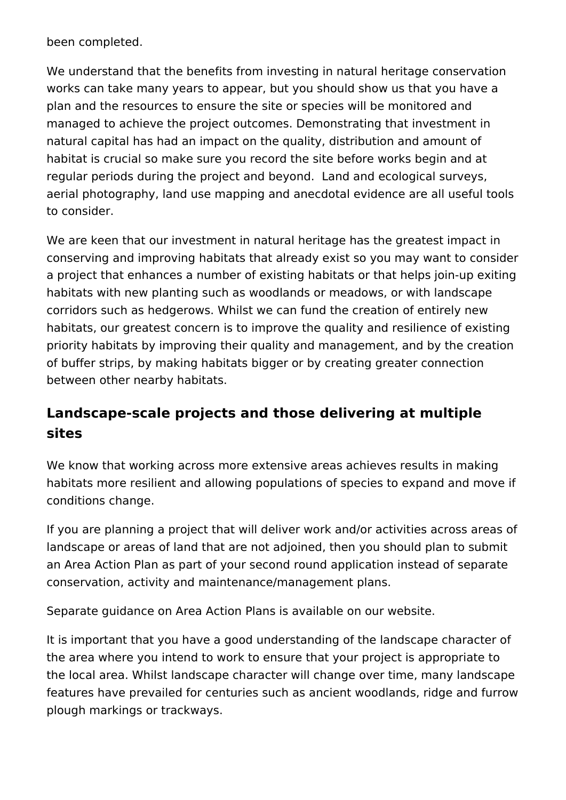been completed.

We understand that the benefits from investing in natural heritage conservation works can take many years to appear, but you should show us that you have a plan and the resources to ensure the site or species will be monitored and managed to achieve the project outcomes. Demonstrating that investment in natural capital has had an impact on the quality, distribution and amount of habitat is crucial so make sure you record the site before works begin and at regular periods during the project and beyond. Land and ecological surveys, aerial photography, land use mapping and anecdotal evidence are all useful tools to consider.

We are keen that our investment in natural heritage has the greatest impact in conserving and improving habitats that already exist so you may want to consider a project that enhances a number of existing habitats or that helps join-up exiting habitats with new planting such as woodlands or meadows, or with landscape corridors such as hedgerows. Whilst we can fund the creation of entirely new habitats, our greatest concern is to improve the quality and resilience of existing priority habitats by improving their quality and management, and by the creation of buffer strips, by making habitats bigger or by creating greater connection between other nearby habitats.

## **Landscape-scale projects and those delivering at multiple sites**

We know that working across more extensive areas achieves results in making habitats more resilient and allowing populations of species to expand and move if conditions change.

If you are planning a project that will deliver work and/or activities across areas of landscape or areas of land that are not adjoined, then you should plan to submit an Area Action Plan as part of your second round application instead of separate conservation, activity and maintenance/management plans.

Separate guidance on Area Action Plans is available on our website.

It is important that you have a good understanding of the landscape character of the area where you intend to work to ensure that your project is appropriate to the local area. Whilst landscape character will change over time, many landscape features have prevailed for centuries such as ancient woodlands, ridge and furrow plough markings or trackways.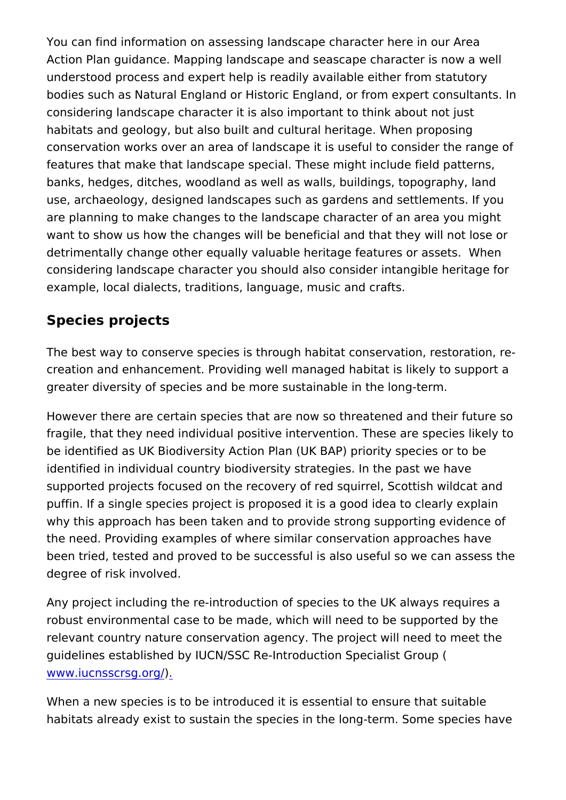You can find information on assessing landscape character here Action Plan guidance. Mapping landscape and seascape charact understood process and expert help is readily available either f bodies such as Natural England or Historic England, or from ex considering landscape character it is also important to think ab habitats and geology, but also built and cultural heritage. Wher conservation works over an area of landscape it is useful to co features that make that landscape special. These might include banks, hedges, ditches, woodland as well as walls, buildings,  $t_0$ use, archaeology, designed landscapes such as gardens and set are planning to make changes to the landscape character of an want to show us how the changes will be beneficial and that the detrimentally change other equally valuable heritage features o considering landscape character you should also consider intan example, local dialects, traditions, language, music and crafts.

#### Species projects

The best way to conserve species is through habitat conservation, creation and enhancement. Providing well managed habitat is li greater diversity of species and be more sustainable in the long

However there are certain species that are now so threatened a fragile, that they need individual positive intervention. These a be identified as UK Biodiversity Action Plan (UK BAP) priority s identified in individual country biodiversity strategies. In the p supported projects focused on the recovery of red squirrel, Sco puffin. If a single species project is proposed it is a good idea why this approach has been taken and to provide strong suppor the need. Providing examples of where similar conservation app been tried, tested and proved to be successful is also useful so degree of risk involved.

Any project including the re-introduction of species to the UK a robust environmental case to be made, which will need to be su relevant country nature conservation agency. The project will n guidelines established by IUCN/SSC Re-Introduction Specialist [www.iucnsscrs](http://www.iucnsscrsg.org/)q.org/

When a new species is to be introduced it is essential to ensure habitats already exist to sustain the species in the long-term. S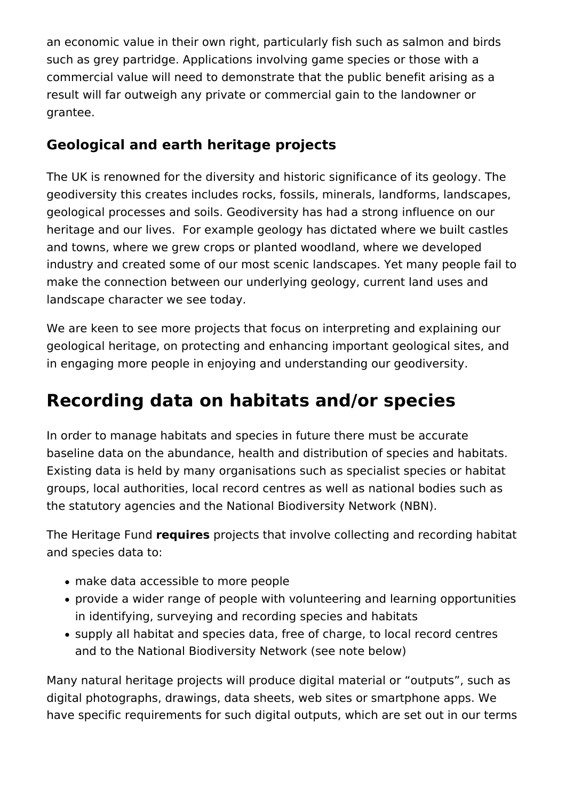an economic value in their own right, particularly fish such as salmon and birds such as grey partridge. Applications involving game species or those with a commercial value will need to demonstrate that the public benefit arising as a result will far outweigh any private or commercial gain to the landowner or grantee.

#### **Geological and earth heritage projects**

The UK is renowned for the diversity and historic significance of its geology. The geodiversity this creates includes rocks, fossils, minerals, landforms, landscapes, geological processes and soils. Geodiversity has had a strong influence on our heritage and our lives. For example geology has dictated where we built castles and towns, where we grew crops or planted woodland, where we developed industry and created some of our most scenic landscapes. Yet many people fail to make the connection between our underlying geology, current land uses and landscape character we see today.

We are keen to see more projects that focus on interpreting and explaining our geological heritage, on protecting and enhancing important geological sites, and in engaging more people in enjoying and understanding our geodiversity.

## **Recording data on habitats and/or species**

In order to manage habitats and species in future there must be accurate baseline data on the abundance, health and distribution of species and habitats. Existing data is held by many organisations such as specialist species or habitat groups, local authorities, local record centres as well as national bodies such as the statutory agencies and the National Biodiversity Network (NBN).

The Heritage Fund **requires** projects that involve collecting and recording habitat and species data to:

- make data accessible to more people
- provide a wider range of people with volunteering and learning opportunities in identifying, surveying and recording species and habitats
- supply all habitat and species data, free of charge, to local record centres and to the National Biodiversity Network (see note below)

Many natural heritage projects will produce digital material or "outputs", such as digital photographs, drawings, data sheets, web sites or smartphone apps. We have specific requirements for such digital outputs, which are set out in our terms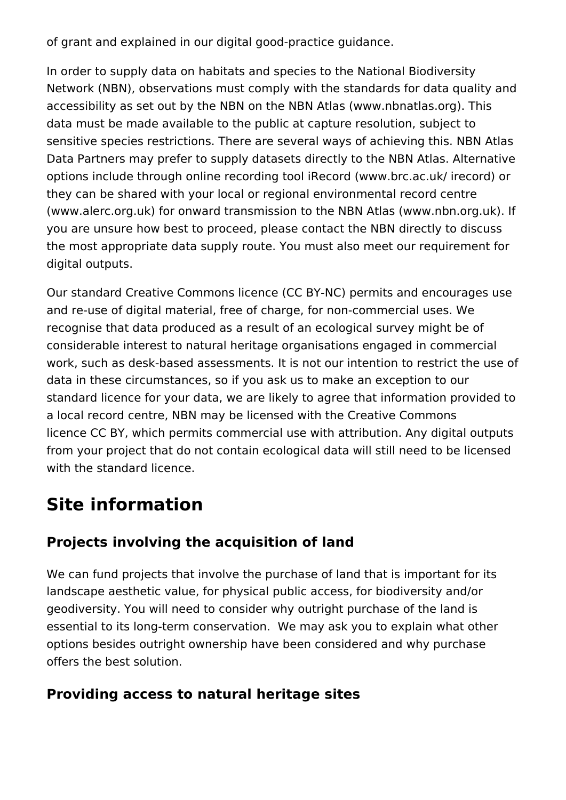of grant and explained in our digital good-practice guidance.

In order to supply data on habitats and species to the National Biodiversity Network (NBN), observations must comply with the standards for data quality and accessibility as set out by the NBN on the NBN Atlas (www.nbnatlas.org). This data must be made available to the public at capture resolution, subject to sensitive species restrictions. There are several ways of achieving this. NBN Atlas Data Partners may prefer to supply datasets directly to the NBN Atlas. Alternative options include through online recording tool iRecord (www.brc.ac.uk/ irecord) or they can be shared with your local or regional environmental record centre (www.alerc.org.uk) for onward transmission to the NBN Atlas (www.nbn.org.uk). If you are unsure how best to proceed, please contact the NBN directly to discuss the most appropriate data supply route. You must also meet our requirement for digital outputs.

Our standard Creative Commons licence (CC BY-NC) permits and encourages use and re-use of digital material, free of charge, for non-commercial uses. We recognise that data produced as a result of an ecological survey might be of considerable interest to natural heritage organisations engaged in commercial work, such as desk-based assessments. It is not our intention to restrict the use of data in these circumstances, so if you ask us to make an exception to our standard licence for your data, we are likely to agree that information provided to a local record centre, NBN may be licensed with the Creative Commons licence CC BY, which permits commercial use with attribution. Any digital outputs from your project that do not contain ecological data will still need to be licensed with the standard licence.

## **Site information**

#### **Projects involving the acquisition of land**

We can fund projects that involve the purchase of land that is important for its landscape aesthetic value, for physical public access, for biodiversity and/or geodiversity. You will need to consider why outright purchase of the land is essential to its long-term conservation. We may ask you to explain what other options besides outright ownership have been considered and why purchase offers the best solution.

#### **Providing access to natural heritage sites**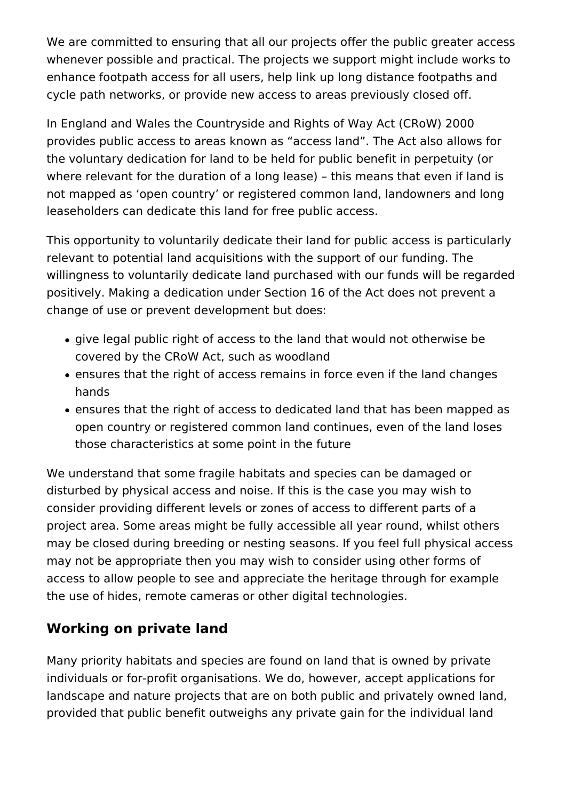We are committed to ensuring that all our projects offer the public greater access whenever possible and practical. The projects we support might include works to enhance footpath access for all users, help link up long distance footpaths and cycle path networks, or provide new access to areas previously closed off.

In England and Wales the Countryside and Rights of Way Act (CRoW) 2000 provides public access to areas known as "access land". The Act also allows for the voluntary dedication for land to be held for public benefit in perpetuity (or where relevant for the duration of a long lease) – this means that even if land is not mapped as 'open country' or registered common land, landowners and long leaseholders can dedicate this land for free public access.

This opportunity to voluntarily dedicate their land for public access is particularly relevant to potential land acquisitions with the support of our funding. The willingness to voluntarily dedicate land purchased with our funds will be regarded positively. Making a dedication under Section 16 of the Act does not prevent a change of use or prevent development but does:

- give legal public right of access to the land that would not otherwise be covered by the CRoW Act, such as woodland
- ensures that the right of access remains in force even if the land changes hands
- ensures that the right of access to dedicated land that has been mapped as open country or registered common land continues, even of the land loses those characteristics at some point in the future

We understand that some fragile habitats and species can be damaged or disturbed by physical access and noise. If this is the case you may wish to consider providing different levels or zones of access to different parts of a project area. Some areas might be fully accessible all year round, whilst others may be closed during breeding or nesting seasons. If you feel full physical access may not be appropriate then you may wish to consider using other forms of access to allow people to see and appreciate the heritage through for example the use of hides, remote cameras or other digital technologies.

#### **Working on private land**

Many priority habitats and species are found on land that is owned by private individuals or for-profit organisations. We do, however, accept applications for landscape and nature projects that are on both public and privately owned land, provided that public benefit outweighs any private gain for the individual land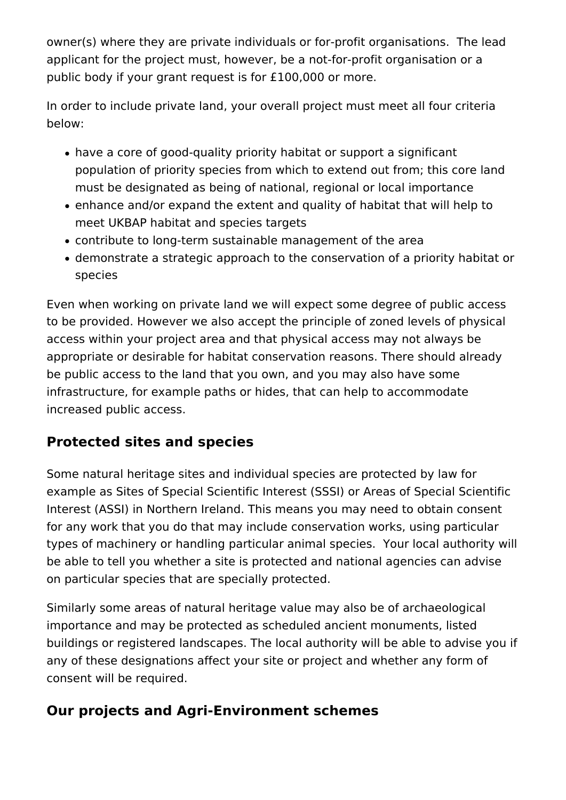owner(s) where they are private individuals or for-profit organisations. The lead applicant for the project must, however, be a not-for-profit organisation or a public body if your grant request is for £100,000 or more.

In order to include private land, your overall project must meet all four criteria below:

- have a core of good-quality priority habitat or support a significant population of priority species from which to extend out from; this core land must be designated as being of national, regional or local importance
- enhance and/or expand the extent and quality of habitat that will help to meet UKBAP habitat and species targets
- contribute to long-term sustainable management of the area
- demonstrate a strategic approach to the conservation of a priority habitat or species

Even when working on private land we will expect some degree of public access to be provided. However we also accept the principle of zoned levels of physical access within your project area and that physical access may not always be appropriate or desirable for habitat conservation reasons. There should already be public access to the land that you own, and you may also have some infrastructure, for example paths or hides, that can help to accommodate increased public access.

#### **Protected sites and species**

Some natural heritage sites and individual species are protected by law for example as Sites of Special Scientific Interest (SSSI) or Areas of Special Scientific Interest (ASSI) in Northern Ireland. This means you may need to obtain consent for any work that you do that may include conservation works, using particular types of machinery or handling particular animal species. Your local authority will be able to tell you whether a site is protected and national agencies can advise on particular species that are specially protected.

Similarly some areas of natural heritage value may also be of archaeological importance and may be protected as scheduled ancient monuments, listed buildings or registered landscapes. The local authority will be able to advise you if any of these designations affect your site or project and whether any form of consent will be required.

## **Our projects and Agri-Environment schemes**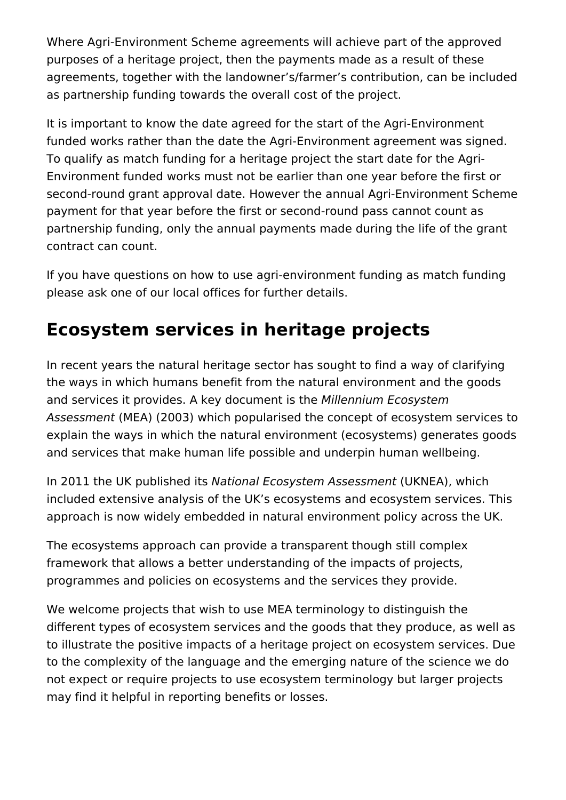Where Agri-Environment Scheme agreements will achieve part of the approved purposes of a heritage project, then the payments made as a result of these agreements, together with the landowner's/farmer's contribution, can be included as partnership funding towards the overall cost of the project.

It is important to know the date agreed for the start of the Agri-Environment funded works rather than the date the Agri-Environment agreement was signed. To qualify as match funding for a heritage project the start date for the Agri-Environment funded works must not be earlier than one year before the first or second-round grant approval date. However the annual Agri-Environment Scheme payment for that year before the first or second-round pass cannot count as partnership funding, only the annual payments made during the life of the grant contract can count.

If you have questions on how to use agri-environment funding as match funding please ask one of our local offices for further details.

## **Ecosystem services in heritage projects**

In recent years the natural heritage sector has sought to find a way of clarifying the ways in which humans benefit from the natural environment and the goods and services it provides. A key document is the *Millennium Ecosystem Assessment* (MEA) (2003) which popularised the concept of ecosystem services to explain the ways in which the natural environment (ecosystems) generates goods and services that make human life possible and underpin human wellbeing.

In 2011 the UK published its *National Ecosystem Assessment* (UKNEA), which included extensive analysis of the UK's ecosystems and ecosystem services. This approach is now widely embedded in natural environment policy across the UK.

The ecosystems approach can provide a transparent though still complex framework that allows a better understanding of the impacts of projects, programmes and policies on ecosystems and the services they provide.

We welcome projects that wish to use MEA terminology to distinguish the different types of ecosystem services and the goods that they produce, as well as to illustrate the positive impacts of a heritage project on ecosystem services. Due to the complexity of the language and the emerging nature of the science we do not expect or require projects to use ecosystem terminology but larger projects may find it helpful in reporting benefits or losses.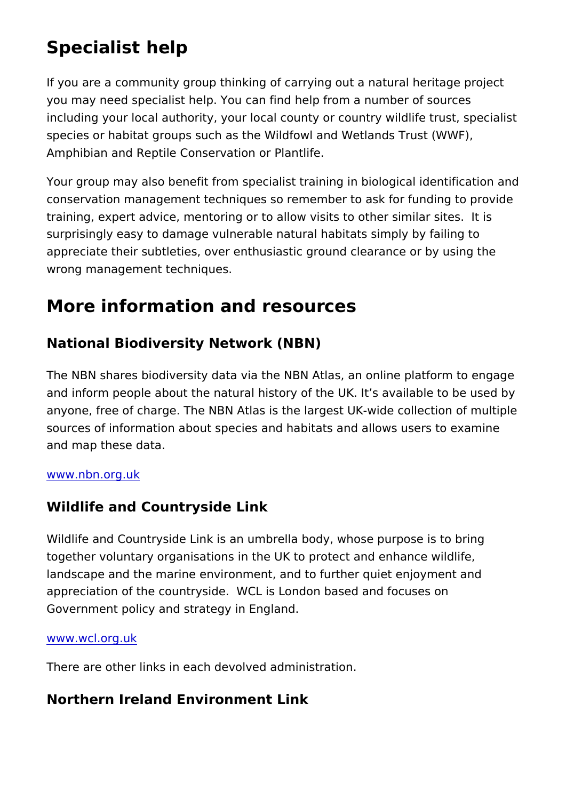#### Specialist help

If you are a community group thinking of carrying out a natural you may need specialist help. You can find help from a number including your local authority, your local county or country wild species or habitat groups such as the Wildfowl and Wetlands Tr Amphibian and Reptile Conservation or Plantlife.

Your group may also benefit from specialist training in biologic conservation management techniques so remember to ask for fu training, expert advice, mentoring or to allow visits to other sir surprisingly easy to damage vulnerable natural habitats simply appreciate their subtleties, over enthusiastic ground clearance wrong management techniques.

#### More information and resources

National Biodiversity Network (NBN)

The NBN shares biodiversity data via the NBN Atlas, an online and inform people about the natural history of the UK. It s avail anyone, free of charge. The NBN Atlas is the largest UK-wide c sources of information about species and habitats and allows us and map these data.

#### [www.nbn.or](https://nbn.org.uk/)g.uk

#### Wildlife and Countryside Link

Wildlife and Countryside Link is an umbrella body, whose purpo together voluntary organisations in the UK to protect and enhan landscape and the marine environment, and to further quiet enjoy appreciation of the countryside. WCL is London based and focu Government policy and strategy in England.

#### [www.wcl.or](http://www.wcl.org.uk/)g.uk

There are other links in each devolved administration.

Northern Ireland Environment Link